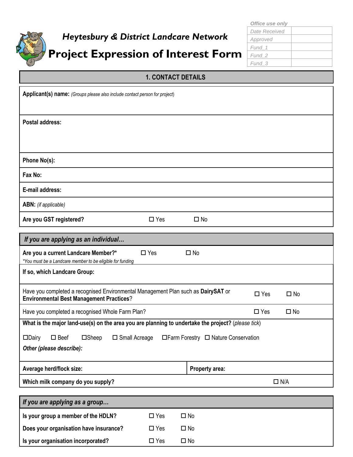

# *Heytesbury & District Landcare Network* **Project Expression of Interest Form**

# **1. CONTACT DETAILS**

| Applicant(s) name: (Groups please also include contact person for project)                                                           |                               |
|--------------------------------------------------------------------------------------------------------------------------------------|-------------------------------|
| <b>Postal address:</b>                                                                                                               |                               |
| Phone No(s):                                                                                                                         |                               |
| Fax No:                                                                                                                              |                               |
| E-mail address:                                                                                                                      |                               |
| <b>ABN:</b> (if applicable)                                                                                                          |                               |
| Are you GST registered?<br>$\Box$ Yes<br>$\Box$ No                                                                                   |                               |
| If you are applying as an individual                                                                                                 |                               |
| $\square$ Yes<br>Are you a current Landcare Member?*<br>$\Box$ No<br>*You must be a Landcare member to be eligible for funding       |                               |
| If so, which Landcare Group:                                                                                                         |                               |
| Have you completed a recognised Environmental Management Plan such as DairySAT or<br><b>Environmental Best Management Practices?</b> | $\square$ Yes<br>$\Box$ No    |
| Have you completed a recognised Whole Farm Plan?                                                                                     | $\square$ Yes<br>$\square$ No |
| What is the major land-use(s) on the area you are planning to undertake the project? (please tick)                                   |                               |
| $\square$ Beef<br>□ Farm Forestry □ Nature Conservation<br>$\square$ Dairy<br>$\square$ Sheep<br>$\square$ Small Acreage             |                               |
| Other (please describe):                                                                                                             |                               |
| Average herd/flock size:<br>Property area:                                                                                           |                               |
| Which milk company do you supply?                                                                                                    | $\Box$ N/A                    |
|                                                                                                                                      |                               |
| If you are applying as a group                                                                                                       |                               |
| $\square$ No<br>Is your group a member of the HDLN?<br>$\square$ Yes                                                                 |                               |
| Does your organisation have insurance?<br>$\square$ Yes<br>$\square$ No                                                              |                               |
| Is your organisation incorporated?<br>$\square$ Yes<br>$\square$ No                                                                  |                               |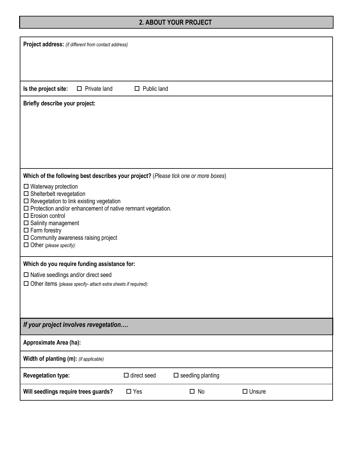## **2. ABOUT YOUR PROJECT**

| <b>Project address:</b> (if different from contact address)                              |                     |                    |                                                                                     |               |  |
|------------------------------------------------------------------------------------------|---------------------|--------------------|-------------------------------------------------------------------------------------|---------------|--|
|                                                                                          |                     |                    |                                                                                     |               |  |
|                                                                                          |                     |                    |                                                                                     |               |  |
|                                                                                          |                     |                    |                                                                                     |               |  |
| Is the project site:                                                                     | $\Box$ Private land | $\Box$ Public land |                                                                                     |               |  |
| Briefly describe your project:                                                           |                     |                    |                                                                                     |               |  |
|                                                                                          |                     |                    |                                                                                     |               |  |
|                                                                                          |                     |                    |                                                                                     |               |  |
|                                                                                          |                     |                    |                                                                                     |               |  |
|                                                                                          |                     |                    |                                                                                     |               |  |
|                                                                                          |                     |                    |                                                                                     |               |  |
|                                                                                          |                     |                    | Which of the following best describes your project? (Please tick one or more boxes) |               |  |
| $\square$ Waterway protection                                                            |                     |                    |                                                                                     |               |  |
| $\square$ Shelterbelt revegetation<br>$\square$ Revegetation to link existing vegetation |                     |                    |                                                                                     |               |  |
| $\square$ Protection and/or enhancement of native remnant vegetation.                    |                     |                    |                                                                                     |               |  |
| $\Box$ Erosion control<br>$\square$ Salinity management                                  |                     |                    |                                                                                     |               |  |
| $\square$ Farm forestry                                                                  |                     |                    |                                                                                     |               |  |
| $\Box$ Community awareness raising project<br>$\Box$ Other (please specify):             |                     |                    |                                                                                     |               |  |
|                                                                                          |                     |                    |                                                                                     |               |  |
| Which do you require funding assistance for:                                             |                     |                    |                                                                                     |               |  |
| $\square$ Native seedlings and/or direct seed                                            |                     |                    |                                                                                     |               |  |
| $\Box$ Other items (please specify- attach extra sheets if required):                    |                     |                    |                                                                                     |               |  |
|                                                                                          |                     |                    |                                                                                     |               |  |
|                                                                                          |                     |                    |                                                                                     |               |  |
| If your project involves revegetation                                                    |                     |                    |                                                                                     |               |  |
| Approximate Area (ha):                                                                   |                     |                    |                                                                                     |               |  |
| Width of planting (m): (if applicable)                                                   |                     |                    |                                                                                     |               |  |
| <b>Revegetation type:</b>                                                                |                     | $\Box$ direct seed | $\square$ seedling planting                                                         |               |  |
| Will seedlings require trees guards?                                                     |                     | $\Box$ Yes         | $\square$ No                                                                        | $\Box$ Unsure |  |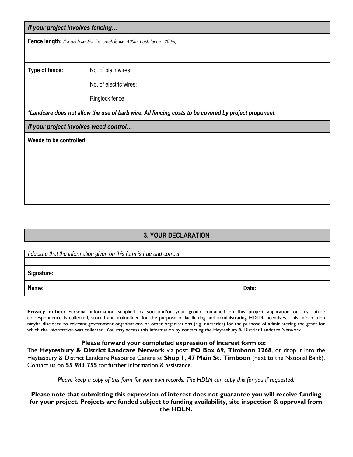#### *If your project involves fencing…*

**Fence length:** *(for each section i.e. creek fence=400m, bush fence= 200m)*

**Type of fence:** No. of plain wires:

No. of electric wires:

Ringlock fence

*\*Landcare does not allow the use of barb wire. All fencing costs to be covered by project proponent.*

*If your project involves weed control…*

**Weeds to be controlled:**

### **3. YOUR DECLARATION**

|            | I declare that the information given on this form is true and correct |       |
|------------|-----------------------------------------------------------------------|-------|
|            |                                                                       |       |
| Signature: |                                                                       |       |
| Name:      |                                                                       | Date: |

**Privacy notice:** Personal information supplied by you and/or your group contained on this project application or any future correspondence is collected, stored and maintained for the purpose of facilitating and administrating HDLN incentives. This information maybe disclosed to relevant government organisations or other organisations (e.g. nurseries) for the purpose of administering the grant for which the information was collected. You may access this information by contacting the Heytesbury & District Landcare Network.

#### **Please forward your completed expression of interest form to:**

The **Heytesbury & District Landcare Network** via post: **PO Box 69, Timboon 3268**, or drop it into the Heytesbury & District Landcare Resource Centre at **Shop 1, 47 Main St. Timboon** (next to the National Bank). Contact us on **55 983 755** for further information & assistance.

*Please keep a copy of this form for your own records. The HDLN can copy this for you if requested.*

**Please note that submitting this expression of interest does not guarantee you will receive funding for your project. Projects are funded subject to funding availability, site inspection & approval from the HDLN.**